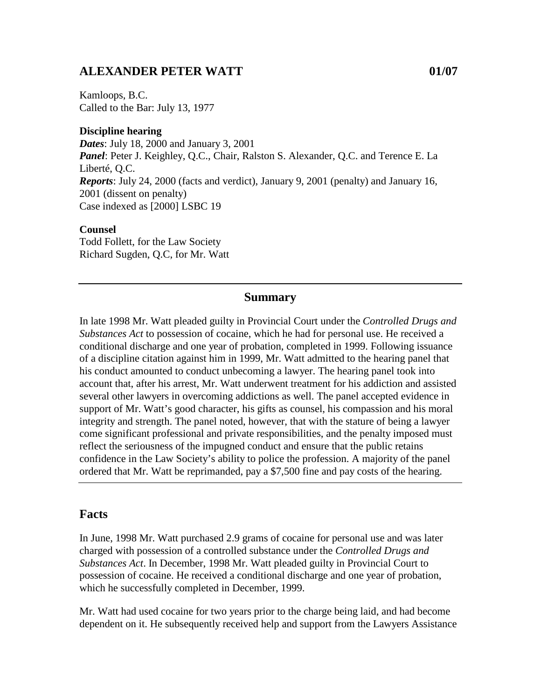### **ALEXANDER PETER WATT 01/07**

Kamloops, B.C. Called to the Bar: July 13, 1977

#### **Discipline hearing**

*Dates*: July 18, 2000 and January 3, 2001 *Panel*: Peter J. Keighley, Q.C., Chair, Ralston S. Alexander, Q.C. and Terence E. La Liberté, Q.C. *Reports*: July 24, 2000 (facts and verdict), January 9, 2001 (penalty) and January 16, 2001 (dissent on penalty) Case indexed as [2000] LSBC 19

#### **Counsel**

Todd Follett, for the Law Society Richard Sugden, Q.C, for Mr. Watt

#### **Summary**

In late 1998 Mr. Watt pleaded guilty in Provincial Court under the *Controlled Drugs and Substances Act* to possession of cocaine, which he had for personal use. He received a conditional discharge and one year of probation, completed in 1999. Following issuance of a discipline citation against him in 1999, Mr. Watt admitted to the hearing panel that his conduct amounted to conduct unbecoming a lawyer. The hearing panel took into account that, after his arrest, Mr. Watt underwent treatment for his addiction and assisted several other lawyers in overcoming addictions as well. The panel accepted evidence in support of Mr. Watt's good character, his gifts as counsel, his compassion and his moral integrity and strength. The panel noted, however, that with the stature of being a lawyer come significant professional and private responsibilities, and the penalty imposed must reflect the seriousness of the impugned conduct and ensure that the public retains confidence in the Law Society's ability to police the profession. A majority of the panel ordered that Mr. Watt be reprimanded, pay a \$7,500 fine and pay costs of the hearing.

#### **Facts**

In June, 1998 Mr. Watt purchased 2.9 grams of cocaine for personal use and was later charged with possession of a controlled substance under the *Controlled Drugs and Substances Act*. In December, 1998 Mr. Watt pleaded guilty in Provincial Court to possession of cocaine. He received a conditional discharge and one year of probation, which he successfully completed in December, 1999.

Mr. Watt had used cocaine for two years prior to the charge being laid, and had become dependent on it. He subsequently received help and support from the Lawyers Assistance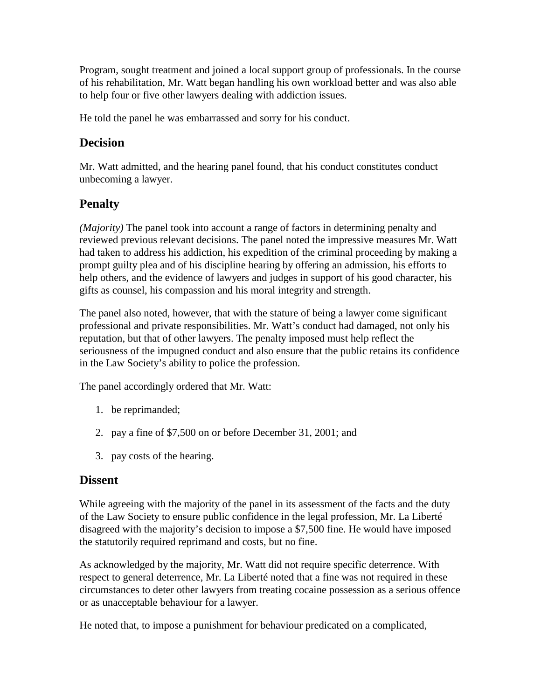Program, sought treatment and joined a local support group of professionals. In the course of his rehabilitation, Mr. Watt began handling his own workload better and was also able to help four or five other lawyers dealing with addiction issues.

He told the panel he was embarrassed and sorry for his conduct.

## **Decision**

Mr. Watt admitted, and the hearing panel found, that his conduct constitutes conduct unbecoming a lawyer.

# **Penalty**

*(Majority)* The panel took into account a range of factors in determining penalty and reviewed previous relevant decisions. The panel noted the impressive measures Mr. Watt had taken to address his addiction, his expedition of the criminal proceeding by making a prompt guilty plea and of his discipline hearing by offering an admission, his efforts to help others, and the evidence of lawyers and judges in support of his good character, his gifts as counsel, his compassion and his moral integrity and strength.

The panel also noted, however, that with the stature of being a lawyer come significant professional and private responsibilities. Mr. Watt's conduct had damaged, not only his reputation, but that of other lawyers. The penalty imposed must help reflect the seriousness of the impugned conduct and also ensure that the public retains its confidence in the Law Society's ability to police the profession.

The panel accordingly ordered that Mr. Watt:

- 1. be reprimanded;
- 2. pay a fine of \$7,500 on or before December 31, 2001; and
- 3. pay costs of the hearing.

## **Dissent**

While agreeing with the majority of the panel in its assessment of the facts and the duty of the Law Society to ensure public confidence in the legal profession, Mr. La Liberté disagreed with the majority's decision to impose a \$7,500 fine. He would have imposed the statutorily required reprimand and costs, but no fine.

As acknowledged by the majority, Mr. Watt did not require specific deterrence. With respect to general deterrence, Mr. La Liberté noted that a fine was not required in these circumstances to deter other lawyers from treating cocaine possession as a serious offence or as unacceptable behaviour for a lawyer.

He noted that, to impose a punishment for behaviour predicated on a complicated,